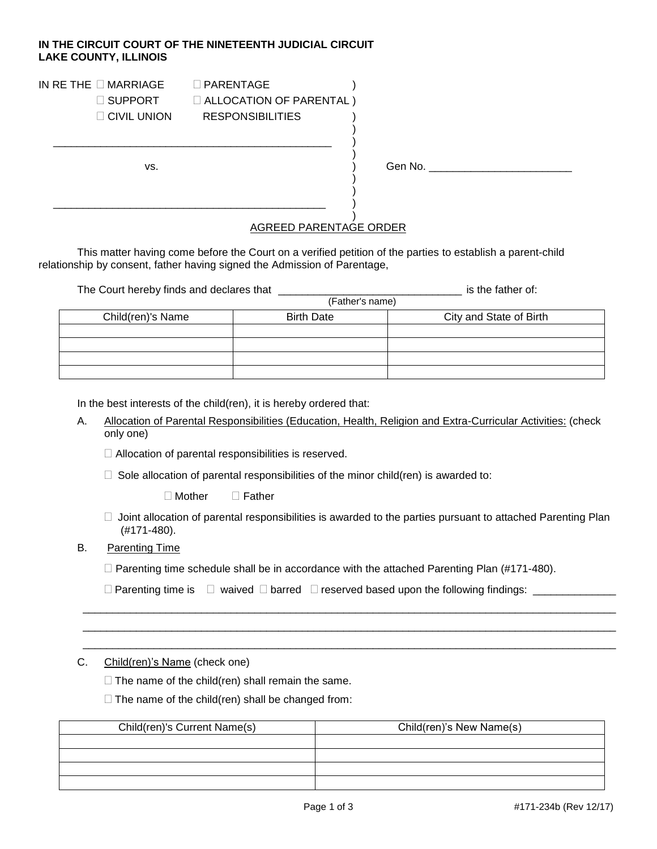## **IN THE CIRCUIT COURT OF THE NINETEENTH JUDICIAL CIRCUIT LAKE COUNTY, ILLINOIS**

\_\_\_\_\_\_\_\_\_\_\_\_\_\_\_\_\_\_\_\_\_\_\_\_\_\_\_\_\_\_\_\_\_\_\_\_\_\_\_\_\_\_\_\_\_\_\_ )

\_\_\_\_\_\_\_\_\_\_\_\_\_\_\_\_\_\_\_\_\_\_\_\_\_\_\_\_\_\_\_\_\_\_\_\_\_\_\_\_\_\_\_\_\_\_ )

# IN RETHE  $\Box$  MARRIAGE  $\Box$  PARENTAGE )  $\Box$  SUPPORT  $\Box$  ALLOCATION OF PARENTAL )

| $\Box$ CIVIL UNION | <b>RESPONSIBILITIES</b> |
|--------------------|-------------------------|

vs.  $\longrightarrow$   $\qquad$   $\qquad$   $\qquad$   $\qquad$   $\qquad$   $\qquad$   $\qquad$   $\qquad$   $\qquad$   $\qquad$   $\qquad$   $\qquad$   $\qquad$   $\qquad$   $\qquad$   $\qquad$   $\qquad$   $\qquad$   $\qquad$   $\qquad$   $\qquad$   $\qquad$   $\qquad$   $\qquad$   $\qquad$   $\qquad$   $\qquad$   $\qquad$   $\qquad$   $\qquad$   $\qquad$   $\qquad$   $\qquad$   $\qquad$   $\qquad$   $\$ 

#### ) AGREED PARENTAGE ORDER

)

)

) )

This matter having come before the Court on a verified petition of the parties to establish a parent-child relationship by consent, father having signed the Admission of Parentage,

The Court hereby finds and declares that \_\_\_\_\_\_\_\_\_\_\_\_\_\_\_\_\_\_\_\_\_\_\_\_\_\_\_\_\_\_\_ is the father of:

| (Father's name)   |                   |                         |  |
|-------------------|-------------------|-------------------------|--|
| Child(ren)'s Name | <b>Birth Date</b> | City and State of Birth |  |
|                   |                   |                         |  |
|                   |                   |                         |  |
|                   |                   |                         |  |
|                   |                   |                         |  |

In the best interests of the child(ren), it is hereby ordered that:

A. Allocation of Parental Responsibilities (Education, Health, Religion and Extra-Curricular Activities: (check only one)

□ Allocation of parental responsibilities is reserved.

 $\Box$  Sole allocation of parental responsibilities of the minor child(ren) is awarded to:

Mother Father

 $\Box$  Joint allocation of parental responsibilities is awarded to the parties pursuant to attached Parenting Plan (#171-480).

\_\_\_\_\_\_\_\_\_\_\_\_\_\_\_\_\_\_\_\_\_\_\_\_\_\_\_\_\_\_\_\_\_\_\_\_\_\_\_\_\_\_\_\_\_\_\_\_\_\_\_\_\_\_\_\_\_\_\_\_\_\_\_\_\_\_\_\_\_\_\_\_\_\_\_\_\_\_\_\_\_\_\_\_\_\_\_\_\_\_ \_\_\_\_\_\_\_\_\_\_\_\_\_\_\_\_\_\_\_\_\_\_\_\_\_\_\_\_\_\_\_\_\_\_\_\_\_\_\_\_\_\_\_\_\_\_\_\_\_\_\_\_\_\_\_\_\_\_\_\_\_\_\_\_\_\_\_\_\_\_\_\_\_\_\_\_\_\_\_\_\_\_\_\_\_\_\_\_\_\_ \_\_\_\_\_\_\_\_\_\_\_\_\_\_\_\_\_\_\_\_\_\_\_\_\_\_\_\_\_\_\_\_\_\_\_\_\_\_\_\_\_\_\_\_\_\_\_\_\_\_\_\_\_\_\_\_\_\_\_\_\_\_\_\_\_\_\_\_\_\_\_\_\_\_\_\_\_\_\_\_\_\_\_\_\_\_\_\_\_\_

# B. Parenting Time

 $\Box$  Parenting time schedule shall be in accordance with the attached Parenting Plan (#171-480).

|  | $\Box$ Parenting time is $\Box$ waived $\Box$ barred $\Box$ reserved based upon the following findings: |  |
|--|---------------------------------------------------------------------------------------------------------|--|
|  |                                                                                                         |  |

#### C. Child(ren)'s Name (check one)

 $\Box$  The name of the child(ren) shall remain the same.

 $\Box$  The name of the child(ren) shall be changed from:

| Child(ren)'s Current Name(s) | Child(ren)'s New Name(s) |
|------------------------------|--------------------------|
|                              |                          |
|                              |                          |
|                              |                          |
|                              |                          |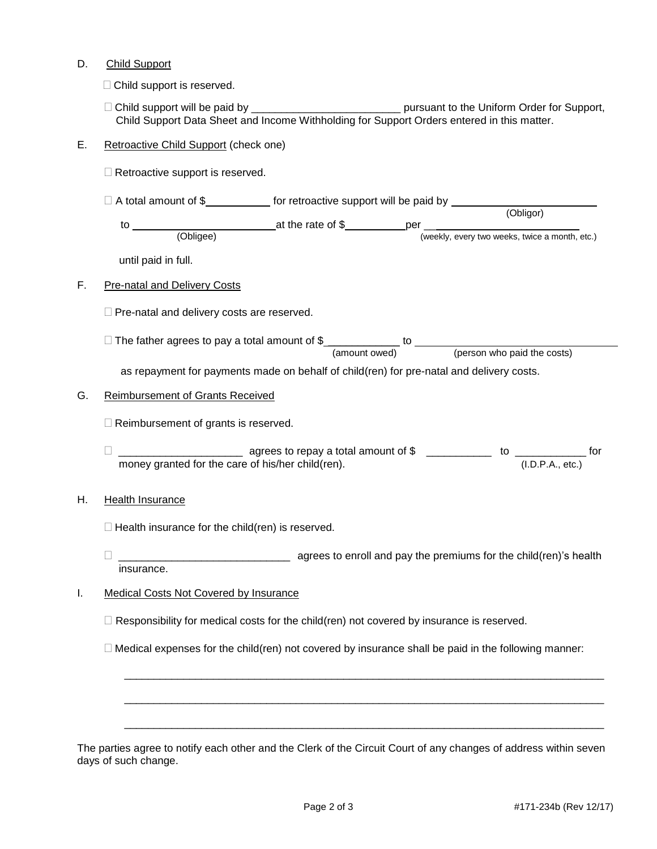### D. Child Support

 $\Box$  Child support is reserved.

 Child support will be paid by \_\_\_\_\_\_\_\_\_\_\_\_\_\_\_\_\_\_\_\_\_\_\_\_\_ pursuant to the Uniform Order for Support, Child Support Data Sheet and Income Withholding for Support Orders entered in this matter.

### E. Retroactive Child Support (check one)

 $\Box$  Retroactive support is reserved.

| $\Box$ A total amount of \$ | for retroactive support will be paid by |  |
|-----------------------------|-----------------------------------------|--|
|                             |                                         |  |

|    |           |                   | (Obligor)                                      |
|----|-----------|-------------------|------------------------------------------------|
| tc |           | at the rate of \$ | per                                            |
|    | (Obligee) |                   | (weekly, every two weeks, twice a month, etc.) |

until paid in full.

### F. Pre-natal and Delivery Costs

 $\Box$  Pre-natal and delivery costs are reserved.

 $\Box$  The father agrees to pay a total amount of  $\frac{1}{2}$  \_\_\_\_\_\_\_\_\_\_\_\_\_\_\_\_ to (amount owed) (person who paid the costs)

as repayment for payments made on behalf of child(ren) for pre-natal and delivery costs.

### G. Reimbursement of Grants Received

- $\Box$  Reimbursement of grants is reserved.
- □ \_\_\_\_\_\_\_\_\_\_\_\_\_\_\_\_\_\_\_\_\_\_\_\_\_\_\_\_\_ agrees to repay a total amount of \$ \_\_\_\_\_\_\_\_\_\_\_\_\_\_ to \_\_\_\_\_\_\_\_\_\_\_\_\_\_\_\_ for money granted for the care of his/her child(ren). (I.D.P.A., etc.)

# H. Health Insurance

- $\Box$  Health insurance for the child(ren) is reserved.
- \_\_\_\_\_\_\_\_\_\_\_\_\_\_\_\_\_\_\_\_\_\_\_\_\_\_\_\_\_ agrees to enroll and pay the premiums for the child(ren)'s health insurance.
- I. Medical Costs Not Covered by Insurance
	- $\Box$  Responsibility for medical costs for the child(ren) not covered by insurance is reserved.
	- $\Box$  Medical expenses for the child(ren) not covered by insurance shall be paid in the following manner:

\_\_\_\_\_\_\_\_\_\_\_\_\_\_\_\_\_\_\_\_\_\_\_\_\_\_\_\_\_\_\_\_\_\_\_\_\_\_\_\_\_\_\_\_\_\_\_\_\_\_\_\_\_\_\_\_\_\_\_\_\_\_\_\_\_\_\_\_\_\_\_\_\_\_\_\_\_\_\_\_\_

\_\_\_\_\_\_\_\_\_\_\_\_\_\_\_\_\_\_\_\_\_\_\_\_\_\_\_\_\_\_\_\_\_\_\_\_\_\_\_\_\_\_\_\_\_\_\_\_\_\_\_\_\_\_\_\_\_\_\_\_\_\_\_\_\_\_\_\_\_\_\_\_\_\_\_\_\_\_\_\_\_

\_\_\_\_\_\_\_\_\_\_\_\_\_\_\_\_\_\_\_\_\_\_\_\_\_\_\_\_\_\_\_\_\_\_\_\_\_\_\_\_\_\_\_\_\_\_\_\_\_\_\_\_\_\_\_\_\_\_\_\_\_\_\_\_\_\_\_\_\_\_\_\_\_\_\_\_\_\_\_\_\_

| The parties agree to notify each other and the Clerk of the Circuit Court of any changes of address within seven |  |
|------------------------------------------------------------------------------------------------------------------|--|
| days of such change.                                                                                             |  |